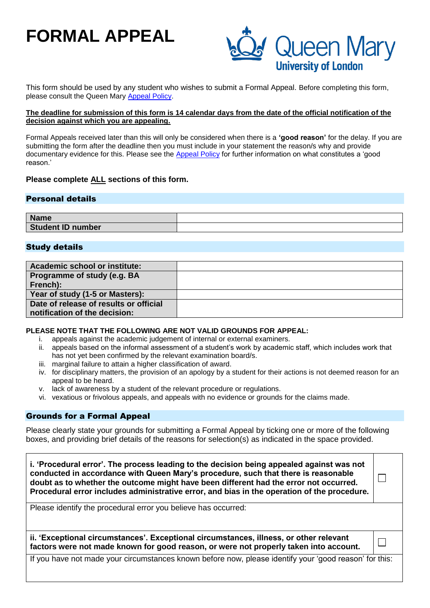# **FORMAL APPEAL**



This form should be used by any student who wishes to submit a Formal Appeal. Before completing this form, please consult the Queen Mary [Appeal Policy.](http://www.arcs.qmul.ac.uk/students/student-appeals/appeals/)

### **The deadline for submission of this form is 14 calendar days from the date of the official notification of the decision against which you are appealing.**

Formal Appeals received later than this will only be considered when there is a **'good reason'** for the delay. If you are submitting the form after the deadline then you must include in your statement the reason/s why and provide documentary evidence for this. Please see the [Appeal Policy](http://www.arcs.qmul.ac.uk/students/student-appeals/appeals/) for further information on what constitutes a 'good reason.'

# **Please complete ALL sections of this form.**

### Personal details

| <b>Name</b>              |  |
|--------------------------|--|
| <b>Student ID number</b> |  |

### Study details

| <b>Academic school or institute:</b>   |  |
|----------------------------------------|--|
| Programme of study (e.g. BA            |  |
| French):                               |  |
| Year of study (1-5 or Masters):        |  |
| Date of release of results or official |  |
| notification of the decision:          |  |

#### **PLEASE NOTE THAT THE FOLLOWING ARE NOT VALID GROUNDS FOR APPEAL:**

- i. appeals against the academic judgement of internal or external examiners.
- ii. appeals based on the informal assessment of a student's work by academic staff, which includes work that has not yet been confirmed by the relevant examination board/s.
- iii. marginal failure to attain a higher classification of award.
- iv. for disciplinary matters, the provision of an apology by a student for their actions is not deemed reason for an appeal to be heard.
- v. lack of awareness by a student of the relevant procedure or regulations.
- vi. vexatious or frivolous appeals, and appeals with no evidence or grounds for the claims made.

### Grounds for a Formal Appeal

Please clearly state your grounds for submitting a Formal Appeal by ticking one or more of the following boxes, and providing brief details of the reasons for selection(s) as indicated in the space provided.

| i. 'Procedural error'. The process leading to the decision being appealed against was not<br>conducted in accordance with Queen Mary's procedure, such that there is reasonable<br>doubt as to whether the outcome might have been different had the error not occurred.<br>Procedural error includes administrative error, and bias in the operation of the procedure. |  |
|-------------------------------------------------------------------------------------------------------------------------------------------------------------------------------------------------------------------------------------------------------------------------------------------------------------------------------------------------------------------------|--|
| Please identify the procedural error you believe has occurred:                                                                                                                                                                                                                                                                                                          |  |
| ii. 'Exceptional circumstances'. Exceptional circumstances, illness, or other relevant<br>factors were not made known for good reason, or were not properly taken into account.                                                                                                                                                                                         |  |
| If you have not made your circumstances known before now, please identify your 'good reason' for this:                                                                                                                                                                                                                                                                  |  |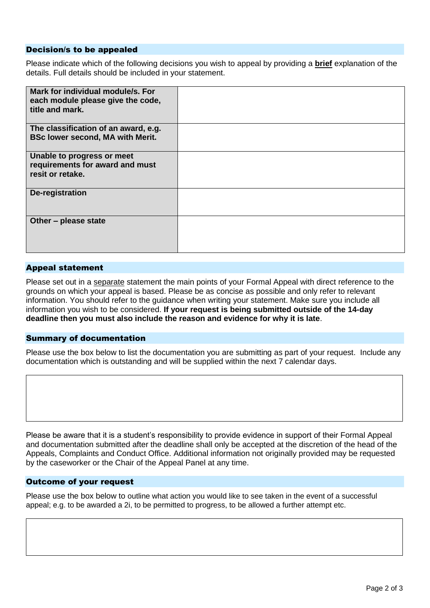# Decision/s to be appealed

Please indicate which of the following decisions you wish to appeal by providing a **brief** explanation of the details. Full details should be included in your statement.

| Mark for individual module/s. For<br>each module please give the code,<br>title and mark. |  |
|-------------------------------------------------------------------------------------------|--|
| The classification of an award, e.g.<br><b>BSc lower second, MA with Merit.</b>           |  |
| Unable to progress or meet<br>requirements for award and must<br>resit or retake.         |  |
| De-registration                                                                           |  |
| Other – please state                                                                      |  |

# Appeal statement

Please set out in a separate statement the main points of your Formal Appeal with direct reference to the grounds on which your appeal is based. Please be as concise as possible and only refer to relevant information. You should refer to the guidance when writing your statement. Make sure you include all information you wish to be considered. **If your request is being submitted outside of the 14-day deadline then you must also include the reason and evidence for why it is late**.

### Summary of documentation

Please use the box below to list the documentation you are submitting as part of your request. Include any documentation which is outstanding and will be supplied within the next 7 calendar days.

Please be aware that it is a student's responsibility to provide evidence in support of their Formal Appeal and documentation submitted after the deadline shall only be accepted at the discretion of the head of the Appeals, Complaints and Conduct Office. Additional information not originally provided may be requested by the caseworker or the Chair of the Appeal Panel at any time.

### Outcome of your request

Please use the box below to outline what action you would like to see taken in the event of a successful appeal; e.g. to be awarded a 2i, to be permitted to progress, to be allowed a further attempt etc.